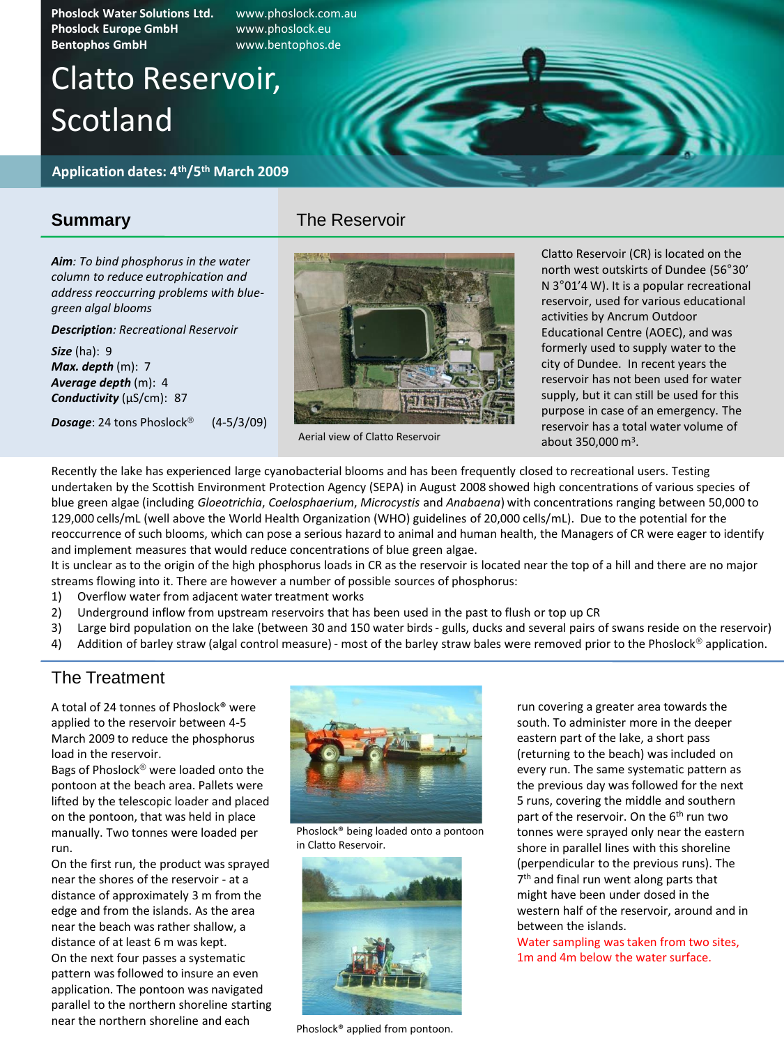**Phoslock Water Solutions Ltd.** www.phoslock.com.au **Phoslock Europe GmbH** www.phoslock.eu **Bentophos GmbH** www.bentophos.de

# Clatto Reservoir, Scotland

**Application dates: 4th/5th March 2009**

### **Summary**

*Aim: To bind phosphorus in the water column to reduce eutrophication and address reoccurring problems with bluegreen algal blooms*

#### *Description: Recreational Reservoir*

*Size* (ha): 9 *Max. depth* (m): 7 *Average depth* (m): 4 *Conductivity* (µS/cm): 87

**Dosage**: 24 tons Phoslock<sup>®</sup> (4-5/3/09)



Aerial view of Clatto Reservoir

The Reservoir

Clatto Reservoir (CR) is located on the north west outskirts of Dundee (56°30' N 3°01'4 W). It is a popular recreational reservoir, used for various educational activities by Ancrum Outdoor Educational Centre (AOEC), and was formerly used to supply water to the city of Dundee. In recent years the reservoir has not been used for water supply, but it can still be used for this purpose in case of an emergency. The reservoir has a total water volume of about  $350,000 \text{ m}^3$ .

Recently the lake has experienced large cyanobacterial blooms and has been frequently closed to recreational users. Testing undertaken by the Scottish Environment Protection Agency (SEPA) in August 2008 showed high concentrations of various species of blue green algae (including *Gloeotrichia*, *Coelosphaerium*, *Microcystis* and *Anabaena*) with concentrations ranging between 50,000 to 129,000 cells/mL (well above the World Health Organization (WHO) guidelines of 20,000 cells/mL). Due to the potential for the reoccurrence of such blooms, which can pose a serious hazard to animal and human health, the Managers of CR were eager to identify and implement measures that would reduce concentrations of blue green algae.

It is unclear as to the origin of the high phosphorus loads in CR as the reservoir is located near the top of a hill and there are no major streams flowing into it. There are however a number of possible sources of phosphorus:

- 1) Overflow water from adjacent water treatment works
- 2) Underground inflow from upstream reservoirs that has been used in the past to flush or top up CR
- 3) Large bird population on the lake (between 30 and 150 water birds gulls, ducks and several pairs of swans reside on the reservoir)
- 4) Addition of barley straw (algal control measure) most of the barley straw bales were removed prior to the Phoslock® application.

## The Treatment

A total of 24 tonnes of Phoslock® were applied to the reservoir between 4-5 March 2009 to reduce the phosphorus load in the reservoir.

Bags of Phoslock<sup>®</sup> were loaded onto the pontoon at the beach area. Pallets were lifted by the telescopic loader and placed on the pontoon, that was held in place manually. Two tonnes were loaded per run.

On the first run, the product was sprayed near the shores of the reservoir - at a distance of approximately 3 m from the edge and from the islands. As the area near the beach was rather shallow, a distance of at least 6 m was kept. On the next four passes a systematic pattern was followed to insure an even application. The pontoon was navigated parallel to the northern shoreline starting near the northern shoreline and each



Phoslock® being loaded onto a pontoon in Clatto Reservoir.



Phoslock® applied from pontoon.

run covering a greater area towards the south. To administer more in the deeper eastern part of the lake, a short pass (returning to the beach) was included on every run. The same systematic pattern as the previous day was followed for the next 5 runs, covering the middle and southern part of the reservoir. On the 6<sup>th</sup> run two tonnes were sprayed only near the eastern shore in parallel lines with this shoreline (perpendicular to the previous runs). The 7 th and final run went along parts that might have been under dosed in the western half of the reservoir, around and in between the islands.

Water sampling was taken from two sites, 1m and 4m below the water surface.